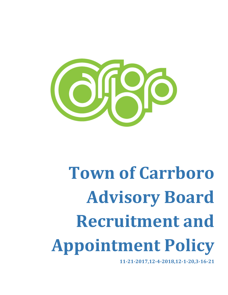

# **Town of Carrboro Advisory Board Recruitment and Appointment Policy**

**11-21-2017,12-4-2018,12-1-20,3-16-21**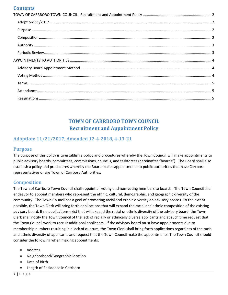# **Contents**

# **TOWN OF CARRBORO TOWN COUNCIL Recruitment and Appointment Policy**

# <span id="page-1-1"></span><span id="page-1-0"></span>**Adoption: 11/21/2017, Amended 12-4-2018, 4-13-21**

#### <span id="page-1-2"></span>**Purpose**

The purpose of this policy is to establish a policy and procedures whereby the Town Council will make appointments to public advisory boards, committees, commissions, councils, and taskforces (hereinafter "boards"). The Board shall also establish a policy and procedures whereby the Board makes appointments to public authorities that have Carrboro representatives or are Town of Carrboro Authorities.

#### <span id="page-1-3"></span>**Composition**

The Town of Carrboro Town Council shall appoint all voting and non-voting members to boards. The Town Council shall endeavor to appoint members who represent the ethnic, cultural, demographic, and geographic diversity of the community. The Town Council has a goal of promoting racial and ethnic diversity on advisory boards. To the extent possible, the Town Clerk will bring forth applications that will expand the racial and ethnic composition of the existing advisory board. If no applications exist that will expand the racial or ethnic diversity of the advisory board, the Town Clerk shall notify the Town Council of the lack of racially or ethnically diverse applicants and at such time request that the Town Council work to recruit additional applicants. If the advisory board must have appointments due to membership numbers resulting in a lack of quorum, the Town Clerk shall bring forth applications regardless of the racial and ethnic diversity of applicants and request that the Town Council make the appointments. The Town Council should consider the following when making appointments:

- Address
- Neighborhood/Geographic location
- Date of Birth
- Length of Residence in Carrboro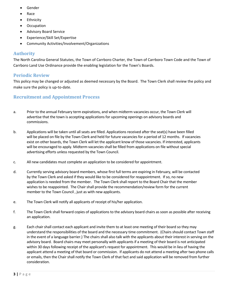- **Gender**
- Race
- **Ethnicity**
- **Occupation**
- Advisory Board Service
- Experience/Skill Set/Expertise
- Community Activities/Involvement/Organizations

#### <span id="page-2-0"></span>**Authority**

The North Carolina General Statutes, the Town of Carrboro Charter, the Town of Carrboro Town Code and the Town of Carrboro Land Use Ordinance provide the enabling legislation for the Town's Boards.

### <span id="page-2-1"></span>**Periodic Review**

This policy may be changed or adjusted as deemed necessary by the Board. The Town Clerk shall review the policy and make sure the policy is up-to-date.

### **Recruitment and Appointment Process**

- a. Prior to the annual February term expirations, and when midterm vacancies occur, the Town Clerk will advertise that the town is accepting applications for upcoming openings on advisory boards and commissions.
- b. Applications will be taken until all seats are filled. Applications received after the seat(s) have been filled will be placed on file by the Town Clerk and held for future vacancies for a period of 12 months. If vacancies exist on other boards, the Town Clerk will let the applicant know of those vacancies. If interested, applicants will be encouraged to apply. Midterm vacancies shall be filled from applications on file without special advertising efforts unless requested by the Town Council.
- c. All new candidates must complete an application to be considered for appointment.
- d. Currently serving advisory board members, whose first full terms are expiring in February, will be contacted by the Town Clerk and asked if they would like to be considered for reappointment. If so, no new application is needed from the member. The Town Clerk shall report to the Board Chair that the member wishes to be reappointed. The Chair shall provide the recommendation/review form for the current member to the Town Council , just as with new applicants.
- e. The Town Clerk will notify all applicants of receipt of his/her application.
- f. The Town Clerk shall forward copies of applications to the advisory board chairs as soon as possible after receiving an application.
- g. Each chair shall contact each applicant and invite them to at least one meeting of their board so they may understand the responsibilities of the board and the necessary time commitment. (Chairs should contact Town staff in the event of a language barrier.) The chairs shall also talk with the applicants about their interest in serving on the advisory board. Board chairs may meet personally with applicants if a meeting of their board is not anticipated within 30 days following receipt of the applicant's request for appointment. This would be in lieu of having the applicant attend a meeting of that board or commission. If applicants do not attend a meeting after two phone calls or emails, then the Chair shall notify the Town Clerk of that fact and said application will be removed from further consideration.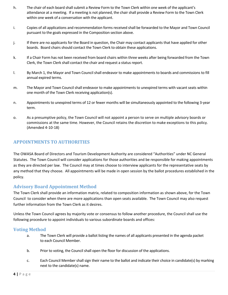- h. The chair of each board shall submit a Review Form to the Town Clerk within one week of the applicant's attendance at a meeting. If a meeting is not planned, the chair shall provide a Review Form to the Town Clerk within one week of a conversation with the applicant.
- i. Copies of all applications and recommendation forms received shall be forwarded to the Mayor and Town Council pursuant to the goals expressed in the Composition section above.
- j. If there are no applicants for the Board in question, the Chair may contact applicants that have applied for other boards. Board chairs should contact the Town Clerk to obtain these applications.
- k. If a Chair Form has not been received from board chairs within three weeks after being forwarded from the Town Clerk, the Town Clerk shall contact the chair and request a status report.
- l. By March 1, the Mayor and Town Council shall endeavor to make appointments to boards and commissions to fill annual expired terms.
- m. The Mayor and Town Council shall endeavor to make appointments to unexpired terms with vacant seats within one month of the Town Clerk receiving application(s).
- n. Appointments to unexpired terms of 12 or fewer months will be simultaneously appointed to the following 3-year term.
- o. As a presumptive policy, the Town Council will not appoint a person to serve on multiple advisory boards or commissions at the same time. However, the Council retains the discretion to make exceptions to this policy. (Amended 4-10-18)

#### <span id="page-3-0"></span>**APPOINTMENTS TO AUTHORITIES**

The OWASA Board of Directors and Tourism Development Authority are considered "Authorities" under NC General Statutes. The Town Council will consider applications for those authorities and be responsible for making appointments as they are directed per law. The Council may at times choose to interview applicants for the representative seats by any method that they choose. All appointments will be made in open session by the ballot procedures established in the policy.

#### <span id="page-3-1"></span>**Advisory Board Appointment Method**

The Town Clerk shall provide an information matrix, related to composition information as shown above, for the Town Council to consider when there are more applications than open seats available. The Town Council may also request further information from the Town Clerk as it desires.

Unless the Town Council agrees by majority vote or consensus to follow another procedure, the Council shall use the following procedure to appoint individuals to various subordinate boards and offices:

#### <span id="page-3-2"></span>**Voting Method**

- a. The Town Clerk will provide a ballot listing the names of all applicants presented in the agenda packet to each Council Member.
- b. Prior to voting, the Council shall open the floor for discussion of the applications.
- c. Each Council Member shall sign their name to the ballot and indicate their choice in candidate(s) by marking next to the candidate(s) name.